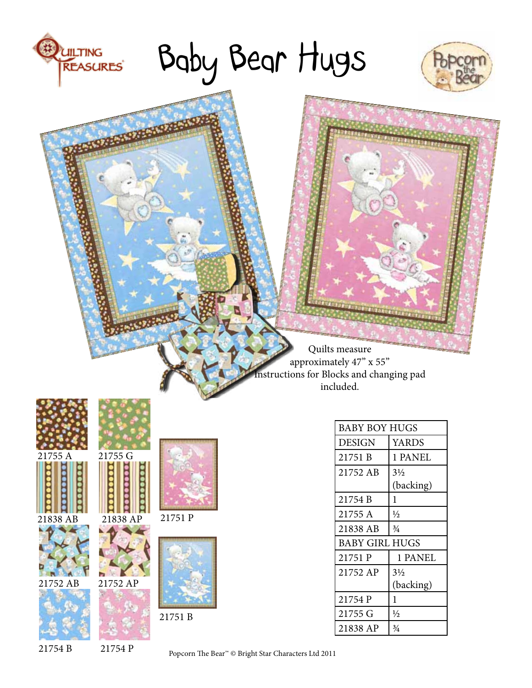# Baby Bear Hugs



Quilts measure approximately 47" x 55" structions for Blocks and changing pad included.



UILTING<br>REASURES

21838 AB 21838 AP











E

÷ ÷

21751 P



BABY BOY HUGS DESIGN | YARDS 21751 B 1 PANEL  $21752$  AB  $3\frac{1}{2}$ (backing)  $21754 B$  | 1 21755 A  $\frac{1}{2}$  $21838$  AB  $\frac{3}{4}$ BABY GIRL HUGS 21751 P 1 PANEL 21752 AP 3½ (backing)  $21754 P$  1  $21755 \text{ G}$   $\frac{1}{2}$ 21838 AP  $\frac{3}{4}$ 

21754 B 21754 P

Popcorn The Bear™ © Bright Star Characters Ltd 2011